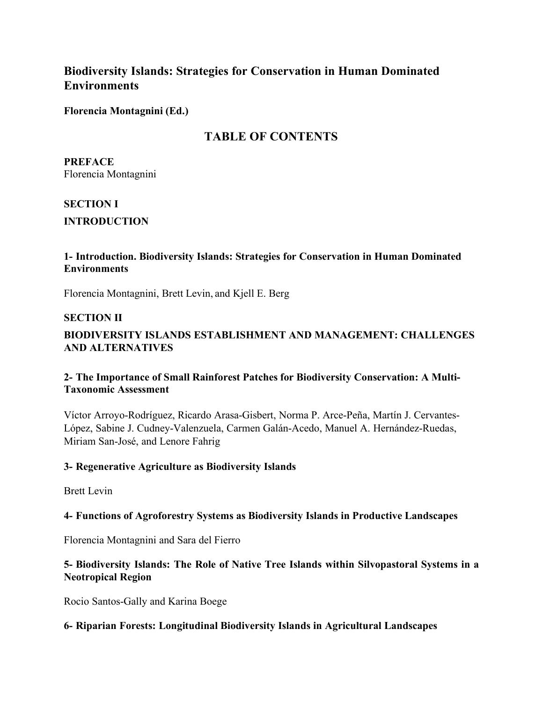# **Biodiversity Islands: Strategies for Conservation in Human Dominated Environments**

**Florencia Montagnini (Ed.)**

# **TABLE OF CONTENTS**

**PREFACE** Florencia Montagnini

## **SECTION I**

**INTRODUCTION**

## **1- Introduction. Biodiversity Islands: Strategies for Conservation in Human Dominated Environments**

Florencia Montagnini, Brett Levin, and Kjell E. Berg

#### **SECTION II**

## **BIODIVERSITY ISLANDS ESTABLISHMENT AND MANAGEMENT: CHALLENGES AND ALTERNATIVES**

## **2- The Importance of Small Rainforest Patches for Biodiversity Conservation: A Multi-Taxonomic Assessment**

Víctor Arroyo-Rodríguez, Ricardo Arasa-Gisbert, Norma P. Arce-Peña, Martín J. Cervantes-López, Sabine J. Cudney-Valenzuela, Carmen Galán-Acedo, Manuel A. Hernández-Ruedas, Miriam San-José, and Lenore Fahrig

## **3- Regenerative Agriculture as Biodiversity Islands**

Brett Levin

## **4- Functions of Agroforestry Systems as Biodiversity Islands in Productive Landscapes**

Florencia Montagnini and Sara del Fierro

## **5- Biodiversity Islands: The Role of Native Tree Islands within Silvopastoral Systems in a Neotropical Region**

Rocio Santos-Gally and Karina Boege

## **6- Riparian Forests: Longitudinal Biodiversity Islands in Agricultural Landscapes**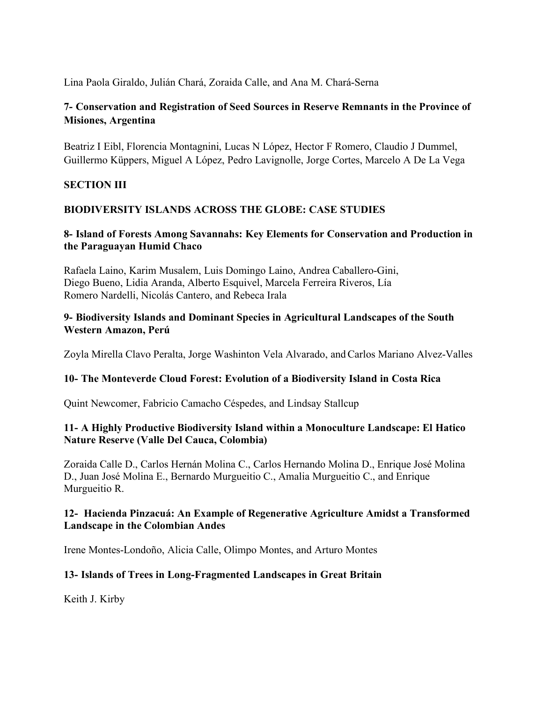Lina Paola Giraldo, Julián Chará, Zoraida Calle, and Ana M. Chará-Serna

## **7- Conservation and Registration of Seed Sources in Reserve Remnants in the Province of Misiones, Argentina**

Beatriz I Eibl, Florencia Montagnini, Lucas N López, Hector F Romero, Claudio J Dummel, Guillermo Küppers, Miguel A López, Pedro Lavignolle, Jorge Cortes, Marcelo A De La Vega

## **SECTION III**

## **BIODIVERSITY ISLANDS ACROSS THE GLOBE: CASE STUDIES**

## **8- Island of Forests Among Savannahs: Key Elements for Conservation and Production in the Paraguayan Humid Chaco**

Rafaela Laino, Karim Musalem, Luis Domingo Laino, Andrea Caballero-Gini, Diego Bueno, Lidia Aranda, Alberto Esquivel, Marcela Ferreira Riveros, Lía Romero Nardelli, Nicolás Cantero, and Rebeca Irala

#### **9- Biodiversity Islands and Dominant Species in Agricultural Landscapes of the South Western Amazon, Perú**

Zoyla Mirella Clavo Peralta, Jorge Washinton Vela Alvarado, and Carlos Mariano Alvez-Valles

## **10- The Monteverde Cloud Forest: Evolution of a Biodiversity Island in Costa Rica**

Quint Newcomer, Fabricio Camacho Céspedes, and Lindsay Stallcup

#### **11- A Highly Productive Biodiversity Island within a Monoculture Landscape: El Hatico Nature Reserve (Valle Del Cauca, Colombia)**

Zoraida Calle D., Carlos Hernán Molina C., Carlos Hernando Molina D., Enrique José Molina D., Juan José Molina E., Bernardo Murgueitio C., Amalia Murgueitio C., and Enrique Murgueitio R.

#### **12- Hacienda Pinzacuá: An Example of Regenerative Agriculture Amidst a Transformed Landscape in the Colombian Andes**

Irene Montes-Londoño, Alicia Calle, Olimpo Montes, and Arturo Montes

## **13- Islands of Trees in Long-Fragmented Landscapes in Great Britain**

Keith J. Kirby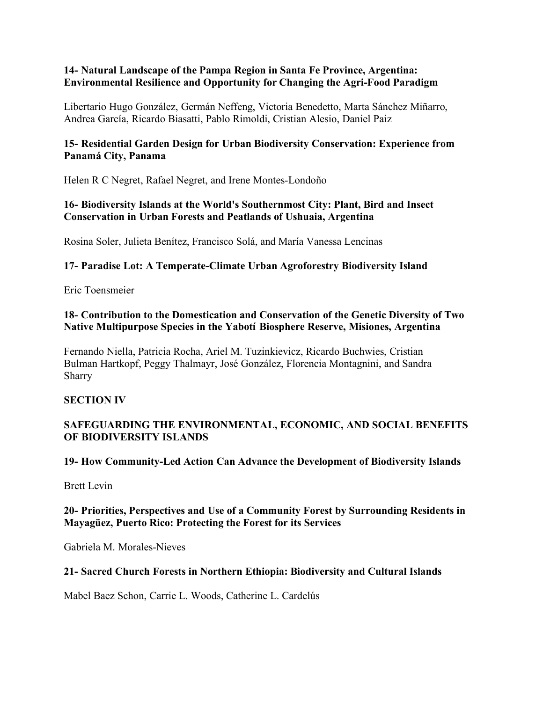#### **14- Natural Landscape of the Pampa Region in Santa Fe Province, Argentina: Environmental Resilience and Opportunity for Changing the Agri-Food Paradigm**

Libertario Hugo González, Germán Neffeng, Victoria Benedetto, Marta Sánchez Miñarro, Andrea García, Ricardo Biasatti, Pablo Rimoldi, Cristian Alesio, Daniel Paiz

## **15- Residential Garden Design for Urban Biodiversity Conservation: Experience from Panamá City, Panama**

Helen R C Negret, Rafael Negret, and Irene Montes-Londoño

## **16- Biodiversity Islands at the World's Southernmost City: Plant, Bird and Insect Conservation in Urban Forests and Peatlands of Ushuaia, Argentina**

Rosina Soler, Julieta Benítez, Francisco Solá, and María Vanessa Lencinas

## **17- Paradise Lot: A Temperate-Climate Urban Agroforestry Biodiversity Island**

Eric Toensmeier

#### **18- Contribution to the Domestication and Conservation of the Genetic Diversity of Two Native Multipurpose Species in the Yabotí Biosphere Reserve, Misiones, Argentina**

Fernando Niella, Patricia Rocha, Ariel M. Tuzinkievicz, Ricardo Buchwies, Cristian Bulman Hartkopf, Peggy Thalmayr, José González, Florencia Montagnini, and Sandra Sharry

## **SECTION IV**

## **SAFEGUARDING THE ENVIRONMENTAL, ECONOMIC, AND SOCIAL BENEFITS OF BIODIVERSITY ISLANDS**

## **19- How Community-Led Action Can Advance the Development of Biodiversity Islands**

Brett Levin

## **20- Priorities, Perspectives and Use of a Community Forest by Surrounding Residents in Mayagüez, Puerto Rico: Protecting the Forest for its Services**

Gabriela M. Morales-Nieves

## **21- Sacred Church Forests in Northern Ethiopia: Biodiversity and Cultural Islands**

Mabel Baez Schon, Carrie L. Woods, Catherine L. Cardelús